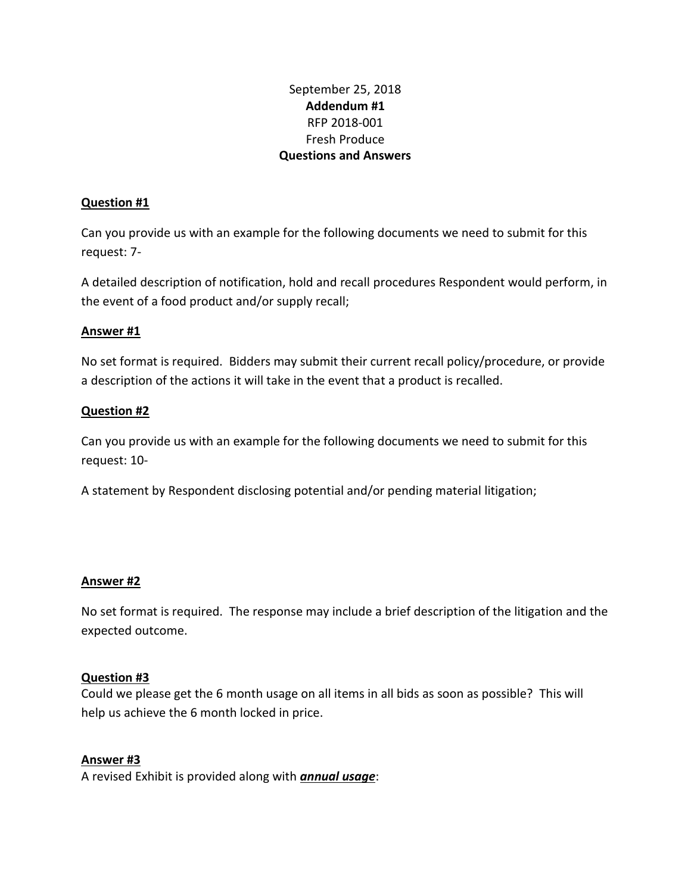# September 25, 2018 **Addendum #1** RFP 2018-001 Fresh Produce **Questions and Answers**

#### **Question #1**

Can you provide us with an example for the following documents we need to submit for this request: 7-

A detailed description of notification, hold and recall procedures Respondent would perform, in the event of a food product and/or supply recall;

## **Answer #1**

No set format is required. Bidders may submit their current recall policy/procedure, or provide a description of the actions it will take in the event that a product is recalled.

#### **Question #2**

Can you provide us with an example for the following documents we need to submit for this request: 10-

A statement by Respondent disclosing potential and/or pending material litigation;

## **Answer #2**

No set format is required. The response may include a brief description of the litigation and the expected outcome.

#### **Question #3**

Could we please get the 6 month usage on all items in all bids as soon as possible? This will help us achieve the 6 month locked in price.

## **Answer #3**

A revised Exhibit is provided along with *annual usage*: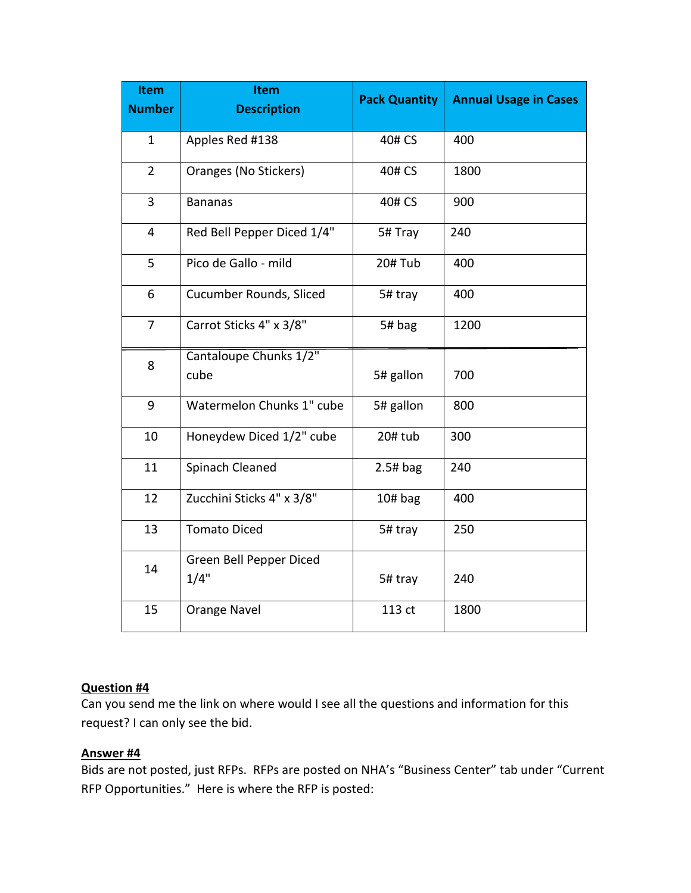| <b>Item</b><br><b>Number</b> | <b>Item</b><br><b>Description</b> | <b>Pack Quantity</b> | <b>Annual Usage in Cases</b> |
|------------------------------|-----------------------------------|----------------------|------------------------------|
| $\mathbf{1}$                 | Apples Red #138                   | 40# CS               | 400                          |
| $\overline{2}$               | Oranges (No Stickers)             | 40# CS               | 1800                         |
| 3                            | <b>Bananas</b>                    | 40# CS               | 900                          |
| $\overline{4}$               | Red Bell Pepper Diced 1/4"        | 5# Tray              | 240                          |
| 5                            | Pico de Gallo - mild              | 20#Tub               | 400                          |
| 6                            | Cucumber Rounds, Sliced           | 5# tray              | 400                          |
| 7                            | Carrot Sticks 4" x 3/8"           | 5# bag               | 1200                         |
| 8                            | Cantaloupe Chunks 1/2"<br>cube    | 5# gallon            | 700                          |
| 9                            | Watermelon Chunks 1" cube         | 5# gallon            | 800                          |
| 10                           | Honeydew Diced 1/2" cube          | 20# tub              | 300                          |
| 11                           | Spinach Cleaned                   | $2.5#$ bag           | 240                          |
| 12                           | Zucchini Sticks 4" x 3/8"         | $10#$ bag            | 400                          |
| 13                           | <b>Tomato Diced</b>               | 5# tray              | 250                          |
| 14                           | Green Bell Pepper Diced<br>1/4"   | 5# tray              | 240                          |
| 15                           | Orange Navel                      | 113 ct               | 1800                         |

## **Question #4**

Can you send me the link on where would I see all the questions and information for this request? I can only see the bid.

#### **Answer #4**

Bids are not posted, just RFPs. RFPs are posted on NHA's "Business Center" tab under "Current RFP Opportunities." Here is where the RFP is posted: